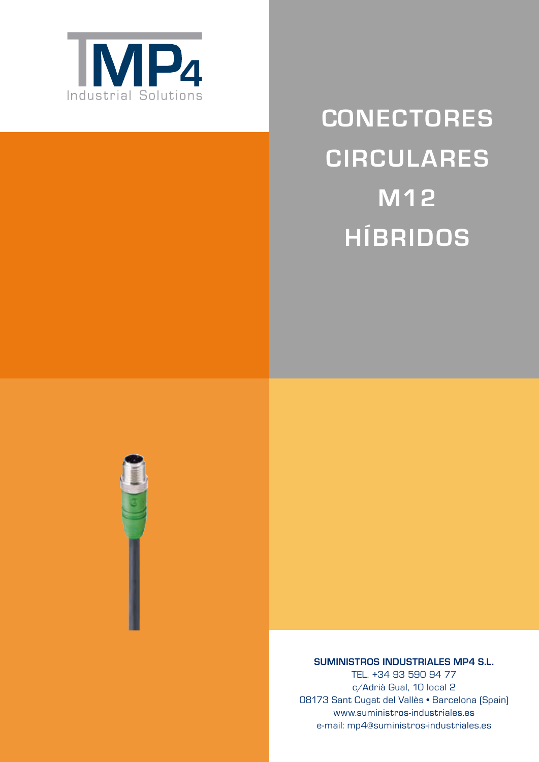

# **CONECTORES CIRCULARES M12 HÍBRIDOS**



**SUMINISTROS INDUSTRIALES MP4 S.L.**

TEL. +34 93 590 94 77 c/Adrià Gual, 10 local 2 08173 Sant Cugat del Vallès • Barcelona (Spain) www.suministros-industriales.es e-mail: mp4@suministros-industriales.es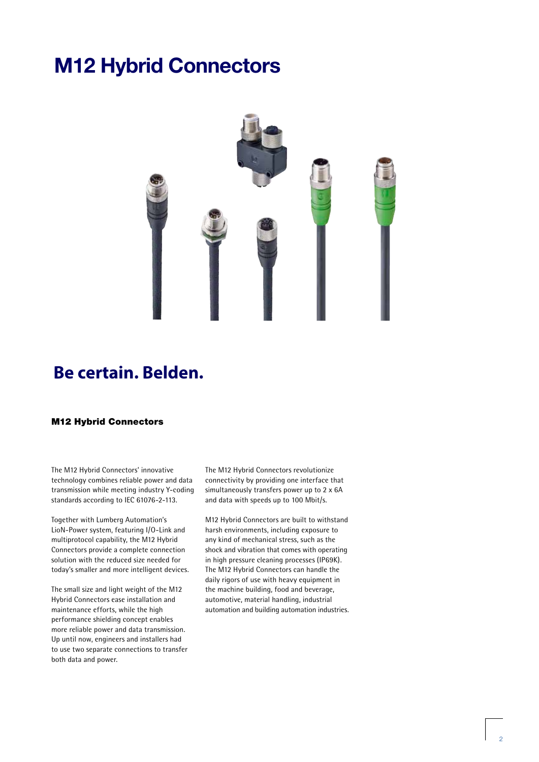# **M12 Hybrid Connectors**



# **Be certain. Belden.**

#### M12 Hybrid Connectors

The M12 Hybrid Connectors' innovative technology combines reliable power and data transmission while meeting industry Y-coding standards according to IEC 61076-2-113.

Together with Lumberg Automation's LioN-Power system, featuring I/O-Link and multiprotocol capability, the M12 Hybrid Connectors provide a complete connection solution with the reduced size needed for today's smaller and more intelligent devices.

The small size and light weight of the M12 Hybrid Connectors ease installation and maintenance efforts, while the high performance shielding concept enables more reliable power and data transmission. Up until now, engineers and installers had to use two separate connections to transfer both data and power.

The M12 Hybrid Connectors revolutionize connectivity by providing one interface that simultaneously transfers power up to 2 x 6A and data with speeds up to 100 Mbit/s.

M12 Hybrid Connectors are built to withstand harsh environments, including exposure to any kind of mechanical stress, such as the shock and vibration that comes with operating in high pressure cleaning processes (IP69K). The M12 Hybrid Connectors can handle the daily rigors of use with heavy equipment in the machine building, food and beverage, automotive, material handling, industrial automation and building automation industries.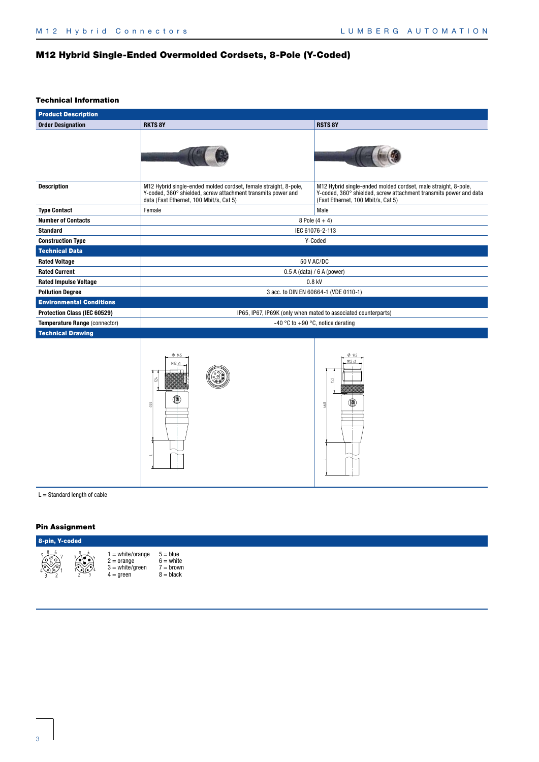# M12 Hybrid Single-Ended Overmolded Cordsets, 8-Pole (Y-Coded)

#### Technical Information

| <b>RSTS 8Y</b><br><b>Order Designation</b><br><b>RKTS 8Y</b><br><b>Description</b><br>M12 Hybrid single-ended molded cordset, female straight, 8-pole,<br>M12 Hybrid single-ended molded cordset, male straight, 8-pole,<br>Y-coded, 360° shielded, screw attachment transmits power and<br>(Fast Ethernet, 100 Mbit/s, Cat 5)<br>data (Fast Ethernet, 100 Mbit/s, Cat 5)<br>Male<br><b>Type Contact</b><br>Female<br><b>Number of Contacts</b><br>8 Pole $(4 + 4)$<br><b>Standard</b><br>IEC 61076-2-113<br><b>Construction Type</b><br>Y-Coded<br><b>Technical Data</b><br>50 V AC/DC<br><b>Rated Voltage</b><br><b>Rated Current</b><br>$0.5$ A (data) / 6 A (power)<br><b>Rated Impulse Voltage</b><br>$0.8$ kV<br>3 acc. to DIN EN 60664-1 (VDE 0110-1)<br><b>Pollution Degree</b><br><b>Environmental Conditions</b><br>Protection Class (IEC 60529)<br>IP65, IP67, IP69K (only when mated to associated counterparts)<br>-40 °C to +90 °C, notice derating<br>Temperature Range (connector)<br><b>Technical Drawing</b><br>0.145<br>0.145<br>M12 x<br>24<br>ß <sup>9</sup><br>46,8<br>G | <b>Product Description</b> |  |                                                                   |  |  |  |  |
|------------------------------------------------------------------------------------------------------------------------------------------------------------------------------------------------------------------------------------------------------------------------------------------------------------------------------------------------------------------------------------------------------------------------------------------------------------------------------------------------------------------------------------------------------------------------------------------------------------------------------------------------------------------------------------------------------------------------------------------------------------------------------------------------------------------------------------------------------------------------------------------------------------------------------------------------------------------------------------------------------------------------------------------------------------------------------------------------|----------------------------|--|-------------------------------------------------------------------|--|--|--|--|
|                                                                                                                                                                                                                                                                                                                                                                                                                                                                                                                                                                                                                                                                                                                                                                                                                                                                                                                                                                                                                                                                                                |                            |  |                                                                   |  |  |  |  |
|                                                                                                                                                                                                                                                                                                                                                                                                                                                                                                                                                                                                                                                                                                                                                                                                                                                                                                                                                                                                                                                                                                |                            |  |                                                                   |  |  |  |  |
|                                                                                                                                                                                                                                                                                                                                                                                                                                                                                                                                                                                                                                                                                                                                                                                                                                                                                                                                                                                                                                                                                                |                            |  | Y-coded, 360° shielded, screw attachment transmits power and data |  |  |  |  |
|                                                                                                                                                                                                                                                                                                                                                                                                                                                                                                                                                                                                                                                                                                                                                                                                                                                                                                                                                                                                                                                                                                |                            |  |                                                                   |  |  |  |  |
|                                                                                                                                                                                                                                                                                                                                                                                                                                                                                                                                                                                                                                                                                                                                                                                                                                                                                                                                                                                                                                                                                                |                            |  |                                                                   |  |  |  |  |
|                                                                                                                                                                                                                                                                                                                                                                                                                                                                                                                                                                                                                                                                                                                                                                                                                                                                                                                                                                                                                                                                                                |                            |  |                                                                   |  |  |  |  |
|                                                                                                                                                                                                                                                                                                                                                                                                                                                                                                                                                                                                                                                                                                                                                                                                                                                                                                                                                                                                                                                                                                |                            |  |                                                                   |  |  |  |  |
|                                                                                                                                                                                                                                                                                                                                                                                                                                                                                                                                                                                                                                                                                                                                                                                                                                                                                                                                                                                                                                                                                                |                            |  |                                                                   |  |  |  |  |
|                                                                                                                                                                                                                                                                                                                                                                                                                                                                                                                                                                                                                                                                                                                                                                                                                                                                                                                                                                                                                                                                                                |                            |  |                                                                   |  |  |  |  |
|                                                                                                                                                                                                                                                                                                                                                                                                                                                                                                                                                                                                                                                                                                                                                                                                                                                                                                                                                                                                                                                                                                |                            |  |                                                                   |  |  |  |  |
|                                                                                                                                                                                                                                                                                                                                                                                                                                                                                                                                                                                                                                                                                                                                                                                                                                                                                                                                                                                                                                                                                                |                            |  |                                                                   |  |  |  |  |
|                                                                                                                                                                                                                                                                                                                                                                                                                                                                                                                                                                                                                                                                                                                                                                                                                                                                                                                                                                                                                                                                                                |                            |  |                                                                   |  |  |  |  |
|                                                                                                                                                                                                                                                                                                                                                                                                                                                                                                                                                                                                                                                                                                                                                                                                                                                                                                                                                                                                                                                                                                |                            |  |                                                                   |  |  |  |  |
|                                                                                                                                                                                                                                                                                                                                                                                                                                                                                                                                                                                                                                                                                                                                                                                                                                                                                                                                                                                                                                                                                                |                            |  |                                                                   |  |  |  |  |
|                                                                                                                                                                                                                                                                                                                                                                                                                                                                                                                                                                                                                                                                                                                                                                                                                                                                                                                                                                                                                                                                                                |                            |  |                                                                   |  |  |  |  |
|                                                                                                                                                                                                                                                                                                                                                                                                                                                                                                                                                                                                                                                                                                                                                                                                                                                                                                                                                                                                                                                                                                |                            |  |                                                                   |  |  |  |  |
| $L =$ Standard length of cable                                                                                                                                                                                                                                                                                                                                                                                                                                                                                                                                                                                                                                                                                                                                                                                                                                                                                                                                                                                                                                                                 |                            |  |                                                                   |  |  |  |  |

#### Pin Assignment



1 = white/orange 2 = orange 3 = white/green 4 = green 5 = blue 6 = white 7 = brown 8 = black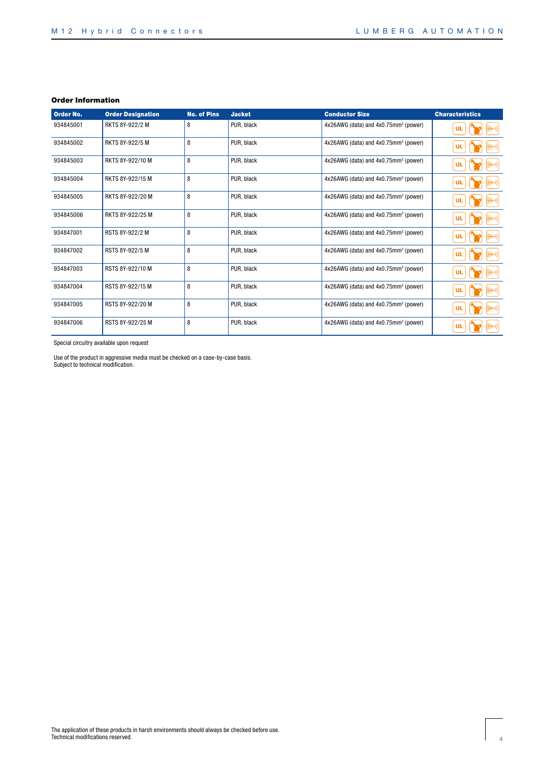| <b>Order No.</b> | <b>Order Designation</b> | <b>No. of Pins</b> | <b>Jacket</b> | <b>Conductor Size</b>                            | <b>Characteristics</b> |
|------------------|--------------------------|--------------------|---------------|--------------------------------------------------|------------------------|
| 934845001        | RKTS 8Y-922/2 M          | 8                  | PUR, black    | 4x26AWG (data) and 4x0.75mm <sup>2</sup> (power) | ¦((·1<br>UL            |
| 934845002        | RKTS 8Y-922/5 M          | 8                  | PUR, black    | 4x26AWG (data) and 4x0.75mm <sup>2</sup> (power) | ∰H+)) <br>UL           |
| 934845003        | RKTS 8Y-922/10 M         | 8                  | PUR, black    | 4x26AWG (data) and 4x0.75mm <sup>2</sup> (power) | ∰+0) <br><b>UL</b>     |
| 934845004        | RKTS 8Y-922/15 M         | 8                  | PUR, black    | $4x26AWG$ (data) and $4x0.75mm^2$ (power)        | ∰+0) <br>UL            |
| 934845005        | RKTS 8Y-922/20 M         | 8                  | PUR, black    | 4x26AWG (data) and 4x0.75mm <sup>2</sup> (power) | ∰+0) <br><b>UL</b>     |
| 934845006        | RKTS 8Y-922/25 M         | 8                  | PUR, black    | 4x26AWG (data) and 4x0.75mm <sup>2</sup> (power) | ∰+)) <br><b>UL</b>     |
| 934847001        | RSTS 8Y-922/2 M          | 8                  | PUR, black    | 4x26AWG (data) and 4x0.75mm <sup>2</sup> (power) | ∰+)) <br><b>UL</b>     |
| 934847002        | RSTS 8Y-922/5 M          | 8                  | PUR. black    | 4x26AWG (data) and 4x0.75mm <sup>2</sup> (power) | ∰+)) <br><b>UL</b>     |
| 934847003        | RSTS 8Y-922/10 M         | 8                  | PUR, black    | 4x26AWG (data) and 4x0.75mm <sup>2</sup> (power) | ∰H+))<br><b>UL</b>     |
| 934847004        | RSTS 8Y-922/15 M         | 8                  | PUR, black    | 4x26AWG (data) and 4x0.75mm <sup>2</sup> (power) | ∰H+))<br><b>UL</b>     |
| 934847005        | RSTS 8Y-922/20 M         | 8                  | PUR, black    | 4x26AWG (data) and 4x0.75mm <sup>2</sup> (power) | ∰H+))<br><b>UL</b>     |
| 934847006        | RSTS 8Y-922/25 M         | 8                  | PUR, black    | 4x26AWG (data) and 4x0.75mm <sup>2</sup> (power) | ∰+))<br><b>UL</b>      |

Special circuitry available upon request

Use of the product in aggressive media must be checked on a case-by-case basis. Subject to technical modification.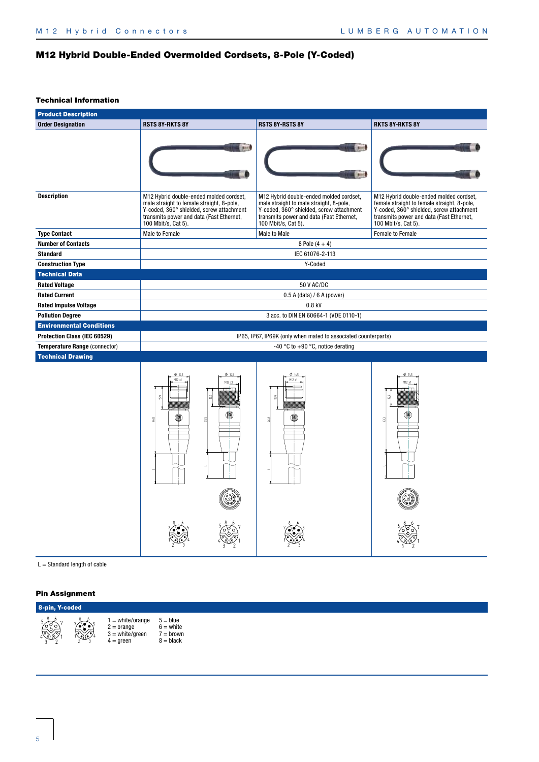# M12 Hybrid Double-Ended Overmolded Cordsets, 8-Pole (Y-Coded)

#### Technical Information

| <b>Product Description</b>                                    |                                                                                                                                                                                                     |                                                                                                                                                                                                   |                                                                                                                                                                                                       |
|---------------------------------------------------------------|-----------------------------------------------------------------------------------------------------------------------------------------------------------------------------------------------------|---------------------------------------------------------------------------------------------------------------------------------------------------------------------------------------------------|-------------------------------------------------------------------------------------------------------------------------------------------------------------------------------------------------------|
| <b>Order Designation</b>                                      | <b>RSTS 8Y-RKTS 8Y</b>                                                                                                                                                                              | <b>RSTS 8Y-RSTS 8Y</b>                                                                                                                                                                            | <b>RKTS 8Y-RKTS 8Y</b>                                                                                                                                                                                |
|                                                               |                                                                                                                                                                                                     |                                                                                                                                                                                                   |                                                                                                                                                                                                       |
| <b>Description</b>                                            | M12 Hybrid double-ended molded cordset,<br>male straight to female straight, 8-pole,<br>Y-coded, 360° shielded, screw attachment<br>transmits power and data (Fast Ethernet,<br>100 Mbit/s, Cat 5). | M12 Hybrid double-ended molded cordset,<br>male straight to male straight, 8-pole,<br>Y-coded, 360° shielded, screw attachment<br>transmits power and data (Fast Ethernet,<br>100 Mbit/s, Cat 5). | M12 Hybrid double-ended molded cordset,<br>female straight to female straight, 8-pole,<br>Y-coded, 360° shielded, screw attachment<br>transmits power and data (Fast Ethernet,<br>100 Mbit/s, Cat 5). |
| <b>Type Contact</b>                                           | Male to Female                                                                                                                                                                                      | Male to Male                                                                                                                                                                                      | Female to Female                                                                                                                                                                                      |
| <b>Number of Contacts</b>                                     |                                                                                                                                                                                                     | 8 Pole $(4 + 4)$                                                                                                                                                                                  |                                                                                                                                                                                                       |
| <b>Standard</b>                                               |                                                                                                                                                                                                     | IEC 61076-2-113                                                                                                                                                                                   |                                                                                                                                                                                                       |
| <b>Construction Type</b>                                      |                                                                                                                                                                                                     | Y-Coded                                                                                                                                                                                           |                                                                                                                                                                                                       |
| <b>Technical Data</b>                                         |                                                                                                                                                                                                     |                                                                                                                                                                                                   |                                                                                                                                                                                                       |
| <b>Rated Voltage</b>                                          |                                                                                                                                                                                                     | 50 V AC/DC                                                                                                                                                                                        |                                                                                                                                                                                                       |
| <b>Rated Current</b>                                          |                                                                                                                                                                                                     | $0.5$ A (data) / 6 A (power)                                                                                                                                                                      |                                                                                                                                                                                                       |
| <b>Rated Impulse Voltage</b>                                  |                                                                                                                                                                                                     | $0.8$ kV                                                                                                                                                                                          |                                                                                                                                                                                                       |
| <b>Pollution Degree</b>                                       |                                                                                                                                                                                                     | 3 acc. to DIN EN 60664-1 (VDE 0110-1)                                                                                                                                                             |                                                                                                                                                                                                       |
| <b>Environmental Conditions</b>                               |                                                                                                                                                                                                     |                                                                                                                                                                                                   |                                                                                                                                                                                                       |
| Protection Class (IEC 60529)<br>Temperature Range (connector) |                                                                                                                                                                                                     | IP65, IP67, IP69K (only when mated to associated counterparts)<br>-40 °C to +90 °C, notice derating                                                                                               |                                                                                                                                                                                                       |
| <b>Technical Drawing</b>                                      |                                                                                                                                                                                                     |                                                                                                                                                                                                   |                                                                                                                                                                                                       |
|                                                               | M12x<br>68                                                                                                                                                                                          |                                                                                                                                                                                                   | M12 x<br>2                                                                                                                                                                                            |

 $L = \text{Standard length of cable}$ 

| 8-pin, Y-coded |  |                                                                               |                                                         |  |  |
|----------------|--|-------------------------------------------------------------------------------|---------------------------------------------------------|--|--|
|                |  | $1 = white/orange$<br>$2 = \text{orange}$<br>$3 = white/green$<br>$4 =$ green | $5 = blue$<br>$6 =$ white<br>$7 =$ brown<br>$8 =$ black |  |  |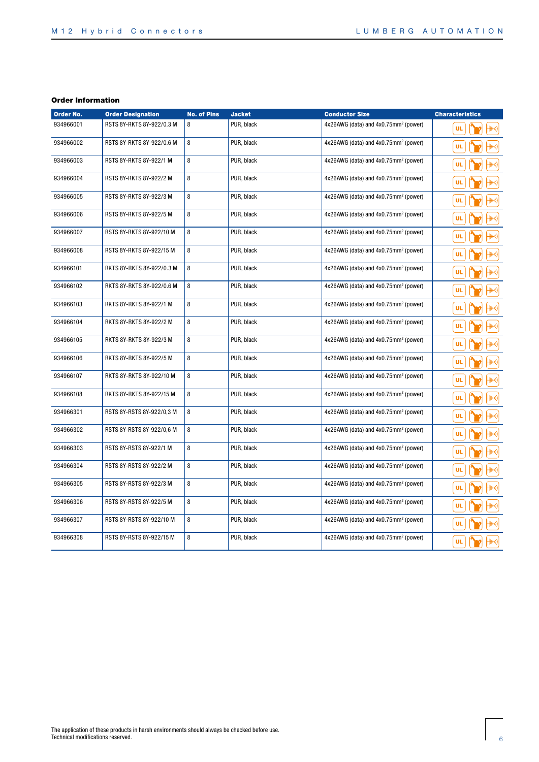| Order No. | <b>Order Designation</b>  | <b>No. of Pins</b> | <b>Jacket</b> | <b>Conductor Size</b>                            | <b>Characteristics</b>     |
|-----------|---------------------------|--------------------|---------------|--------------------------------------------------|----------------------------|
| 934966001 | RSTS 8Y-RKTS 8Y-922/0.3 M | 8                  | PUR, black    | 4x26AWG (data) and 4x0.75mm <sup>2</sup> (power) | ∰H+)) <br><b>UL</b>        |
| 934966002 | RSTS 8Y-RKTS 8Y-922/0.6 M | 8                  | PUR, black    | 4x26AWG (data) and 4x0.75mm <sup>2</sup> (power) | UL<br>∰H))                 |
| 934966003 | RSTS 8Y-RKTS 8Y-922/1 M   | 8                  | PUR, black    | 4x26AWG (data) and 4x0.75mm <sup>2</sup> (power) | <b>UL</b><br>∰H+))         |
| 934966004 | RSTS 8Y-RKTS 8Y-922/2 M   | 8                  | PUR, black    | 4x26AWG (data) and 4x0.75mm <sup>2</sup> (power) | UL<br>∰H+>))               |
| 934966005 | RSTS 8Y-RKTS 8Y-922/3 M   | 8                  | PUR, black    | 4x26AWG (data) and 4x0.75mm <sup>2</sup> (power) | UL<br>¦llt+))              |
| 934966006 | RSTS 8Y-RKTS 8Y-922/5 M   | 8                  | PUR, black    | 4x26AWG (data) and 4x0.75mm <sup>2</sup> (power) | UL<br>¦ll+))               |
| 934966007 | RSTS 8Y-RKTS 8Y-922/10 M  | 8                  | PUR, black    | 4x26AWG (data) and 4x0.75mm <sup>2</sup> (power) | UL<br>¦ll+))               |
| 934966008 | RSTS 8Y-RKTS 8Y-922/15 M  | 8                  | PUR, black    | 4x26AWG (data) and 4x0.75mm <sup>2</sup> (power) | <b>UL</b><br>¦ll+))        |
| 934966101 | RKTS 8Y-RKTS 8Y-922/0.3 M | 8                  | PUR, black    | 4x26AWG (data) and 4x0.75mm <sup>2</sup> (power) | UL<br>¦ll+))               |
| 934966102 | RKTS 8Y-RKTS 8Y-922/0.6 M | 8                  | PUR, black    | 4x26AWG (data) and 4x0.75mm <sup>2</sup> (power) | UL<br>∰H+))                |
| 934966103 | RKTS 8Y-RKTS 8Y-922/1 M   | 8                  | PUR, black    | 4x26AWG (data) and 4x0.75mm <sup>2</sup> (power) | UL<br>∰H+))                |
| 934966104 | RKTS 8Y-RKTS 8Y-922/2 M   | 8                  | PUR, black    | 4x26AWG (data) and 4x0.75mm <sup>2</sup> (power) | UL<br>¦ll+))               |
| 934966105 | RKTS 8Y-RKTS 8Y-922/3 M   | 8                  | PUR, black    | 4x26AWG (data) and 4x0.75mm <sup>2</sup> (power) | UL.<br>₩1)                 |
| 934966106 | RKTS 8Y-RKTS 8Y-922/5 M   | 8                  | PUR, black    | 4x26AWG (data) and 4x0.75mm <sup>2</sup> (power) | UL.<br>∰H+))               |
| 934966107 | RKTS 8Y-RKTS 8Y-922/10 M  | 8                  | PUR, black    | 4x26AWG (data) and 4x0.75mm <sup>2</sup> (power) | UL.<br>∰H+))               |
| 934966108 | RKTS 8Y-RKTS 8Y-922/15 M  | 8                  | PUR, black    | 4x26AWG (data) and 4x0.75mm <sup>2</sup> (power) | UL.<br><del>   </del>  +)) |
| 934966301 | RSTS 8Y-RSTS 8Y-922/0,3 M | 8                  | PUR, black    | 4x26AWG (data) and 4x0.75mm <sup>2</sup> (power) | UL.<br>¦∰+))               |
| 934966302 | RSTS 8Y-RSTS 8Y-922/0,6 M | 8                  | PUR, black    | 4x26AWG (data) and 4x0.75mm <sup>2</sup> (power) | UL.<br>((⊶#                |
| 934966303 | RSTS 8Y-RSTS 8Y-922/1 M   | 8                  | PUR, black    | 4x26AWG (data) and 4x0.75mm <sup>2</sup> (power) | UL<br>¦((·+                |
| 934966304 | RSTS 8Y-RSTS 8Y-922/2 M   | 8                  | PUR, black    | 4x26AWG (data) and 4x0.75mm <sup>2</sup> (power) | UL<br>((HH+)               |
| 934966305 | RSTS 8Y-RSTS 8Y-922/3 M   | 8                  | PUR, black    | $4x26AWG$ (data) and $4x0.75mm^2$ (power)        | <b>UL</b><br>¦((·⊬         |
| 934966306 | RSTS 8Y-RSTS 8Y-922/5 M   | 8                  | PUR, black    | 4x26AWG (data) and 4x0.75mm <sup>2</sup> (power) | + ) <br>UL                 |
| 934966307 | RSTS 8Y-RSTS 8Y-922/10 M  | 8                  | PUR, black    | 4x26AWG (data) and 4x0.75mm <sup>2</sup> (power) | UL<br>¦llt+))              |
| 934966308 | RSTS 8Y-RSTS 8Y-922/15 M  | 8                  | PUR, black    | 4x26AWG (data) and 4x0.75mm <sup>2</sup> (power) | ∰H+))<br>UL                |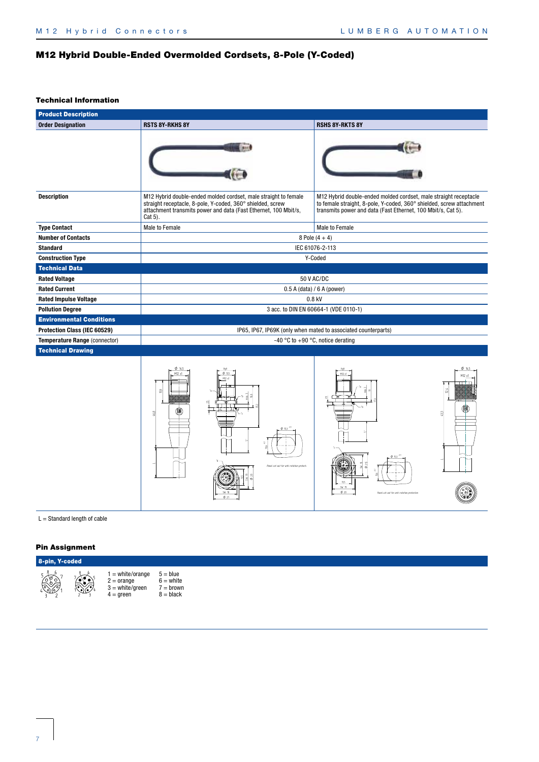# M12 Hybrid Double-Ended Overmolded Cordsets, 8-Pole (Y-Coded)

#### Technical Information

| <b>Product Description</b>      |                                                                                                                                                                                                             |                                                                                                                                                                                                          |  |  |  |  |  |
|---------------------------------|-------------------------------------------------------------------------------------------------------------------------------------------------------------------------------------------------------------|----------------------------------------------------------------------------------------------------------------------------------------------------------------------------------------------------------|--|--|--|--|--|
| <b>Order Designation</b>        | <b>RSTS 8Y-RKHS 8Y</b>                                                                                                                                                                                      | <b>RSHS 8Y-RKTS 8Y</b>                                                                                                                                                                                   |  |  |  |  |  |
|                                 |                                                                                                                                                                                                             |                                                                                                                                                                                                          |  |  |  |  |  |
| <b>Description</b>              | M12 Hybrid double-ended molded cordset, male straight to female<br>straight receptacle, 8-pole, Y-coded, 360° shielded, screw<br>attachment transmits power and data (Fast Ethernet, 100 Mbit/s,<br>Cat 5). | M12 Hybrid double-ended molded cordset, male straight receptacle<br>to female straight, 8-pole, Y-coded, 360° shielded, screw attachment<br>transmits power and data (Fast Ethernet, 100 Mbit/s, Cat 5). |  |  |  |  |  |
| <b>Type Contact</b>             | Male to Female                                                                                                                                                                                              | Male to Female                                                                                                                                                                                           |  |  |  |  |  |
| <b>Number of Contacts</b>       | 8 Pole $(4 + 4)$                                                                                                                                                                                            |                                                                                                                                                                                                          |  |  |  |  |  |
| <b>Standard</b>                 | IEC 61076-2-113                                                                                                                                                                                             |                                                                                                                                                                                                          |  |  |  |  |  |
| <b>Construction Type</b>        | Y-Coded                                                                                                                                                                                                     |                                                                                                                                                                                                          |  |  |  |  |  |
| <b>Technical Data</b>           |                                                                                                                                                                                                             |                                                                                                                                                                                                          |  |  |  |  |  |
| <b>Rated Voltage</b>            | 50 V AC/DC                                                                                                                                                                                                  |                                                                                                                                                                                                          |  |  |  |  |  |
| <b>Rated Current</b>            | $0.5$ A (data) / 6 A (power)                                                                                                                                                                                |                                                                                                                                                                                                          |  |  |  |  |  |
| <b>Rated Impulse Voltage</b>    | $0.8$ kV                                                                                                                                                                                                    |                                                                                                                                                                                                          |  |  |  |  |  |
| <b>Pollution Degree</b>         | 3 acc. to DIN EN 60664-1 (VDE 0110-1)                                                                                                                                                                       |                                                                                                                                                                                                          |  |  |  |  |  |
| <b>Environmental Conditions</b> |                                                                                                                                                                                                             |                                                                                                                                                                                                          |  |  |  |  |  |
| Protection Class (IEC 60529)    | IP65, IP67, IP69K (only when mated to associated counterparts)                                                                                                                                              |                                                                                                                                                                                                          |  |  |  |  |  |
| Temperature Range (connector)   | -40 °C to +90 °C, notice derating                                                                                                                                                                           |                                                                                                                                                                                                          |  |  |  |  |  |
| <b>Technical Drawing</b>        |                                                                                                                                                                                                             |                                                                                                                                                                                                          |  |  |  |  |  |
|                                 |                                                                                                                                                                                                             |                                                                                                                                                                                                          |  |  |  |  |  |

 $\sim$ 

*FRQWDFWDVVLJQPHQW*



*QXPEHURISROHV*

*FRORUFRGH*

 $L =$  Standard length of cable

| 8-pin, Y-coded |  |                                                                              |                                                         |  |  |  |
|----------------|--|------------------------------------------------------------------------------|---------------------------------------------------------|--|--|--|
|                |  | $1 = white/orange$<br>$2 = \text{orange}$<br>$3 = white/area$<br>$4 =$ qreen | $5 = blue$<br>$6 =$ white<br>$7 =$ brown<br>$8 = black$ |  |  |  |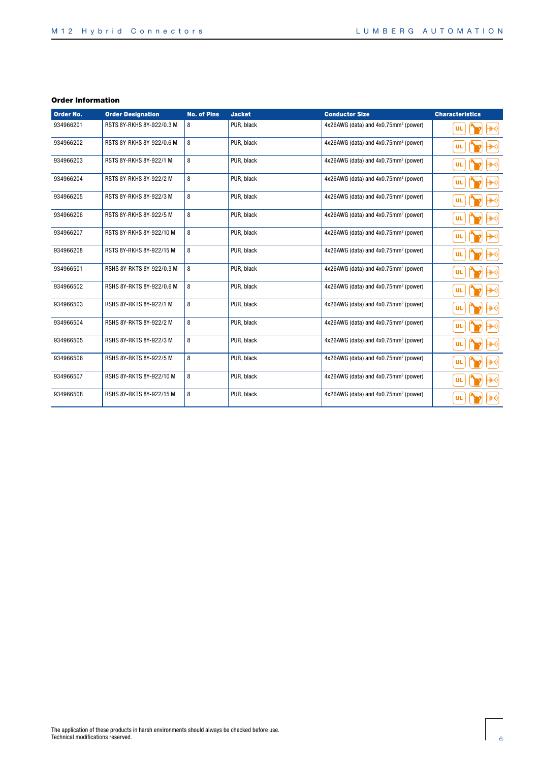| Order No. | <b>Order Designation</b>  | <b>No. of Pins</b> | <b>Jacket</b> | <b>Conductor Size</b>                            | <b>Characteristics</b>                                                                              |
|-----------|---------------------------|--------------------|---------------|--------------------------------------------------|-----------------------------------------------------------------------------------------------------|
| 934966201 | RSTS 8Y-RKHS 8Y-922/0.3 M | 8                  | PUR. black    | 4x26AWG (data) and 4x0.75mm <sup>2</sup> (power) | $\left \left \left \left \left \left \left \right \right \right \right \right \right $<br><b>UL</b> |
| 934966202 | RSTS 8Y-RKHS 8Y-922/0.6 M | 8                  | PUR, black    | 4x26AWG (data) and 4x0.75mm <sup>2</sup> (power) | #+))<br><b>UL</b>                                                                                   |
| 934966203 | RSTS 8Y-RKHS 8Y-922/1 M   | 8                  | PUR, black    | 4x26AWG (data) and 4x0.75mm <sup>2</sup> (power) | $\ket{+ + 0}$<br>UL                                                                                 |
| 934966204 | RSTS 8Y-RKHS 8Y-922/2 M   | 8                  | PUR, black    | 4x26AWG (data) and 4x0.75mm <sup>2</sup> (power) | UL                                                                                                  |
| 934966205 | RSTS 8Y-RKHS 8Y-922/3 M   | 8                  | PUR, black    | 4x26AWG (data) and 4x0.75mm <sup>2</sup> (power) | ¦∰H+))<br><b>UL</b>                                                                                 |
| 934966206 | RSTS 8Y-RKHS 8Y-922/5 M   | 8                  | PUR, black    | 4x26AWG (data) and 4x0.75mm <sup>2</sup> (power) | +0)<br>UL                                                                                           |
| 934966207 | RSTS 8Y-RKHS 8Y-922/10 M  | 8                  | PUR, black    | 4x26AWG (data) and 4x0.75mm <sup>2</sup> (power) | #+))<br><b>UL</b>                                                                                   |
| 934966208 | RSTS 8Y-RKHS 8Y-922/15 M  | 8                  | PUR. black    | 4x26AWG (data) and 4x0.75mm <sup>2</sup> (power) | #+))<br><b>UL</b>                                                                                   |
| 934966501 | RSHS 8Y-RKTS 8Y-922/0.3 M | 8                  | PUR, black    | 4x26AWG (data) and 4x0.75mm <sup>2</sup> (power) | $\ket{\mathop{\#}\mapsto}$<br><b>UL</b>                                                             |
| 934966502 | RSHS 8Y-RKTS 8Y-922/0.6 M | 8                  | PUR, black    | 4x26AWG (data) and 4x0.75mm <sup>2</sup> (power) | ((+         <br><b>UL</b>                                                                           |
| 934966503 | RSHS 8Y-RKTS 8Y-922/1 M   | 8                  | PUR, black    | 4x26AWG (data) and 4x0.75mm <sup>2</sup> (power) | +))<br><b>UL</b>                                                                                    |
| 934966504 | RSHS 8Y-RKTS 8Y-922/2 M   | 8                  | PUR. black    | 4x26AWG (data) and 4x0.75mm <sup>2</sup> (power) | +))<br><b>UL</b>                                                                                    |
| 934966505 | RSHS 8Y-RKTS 8Y-922/3 M   | 8                  | PUR, black    | 4x26AWG (data) and 4x0.75mm <sup>2</sup> (power) | #+))<br><b>UL</b>                                                                                   |
| 934966506 | RSHS 8Y-RKTS 8Y-922/5 M   | 8                  | PUR, black    | 4x26AWG (data) and 4x0.75mm <sup>2</sup> (power) | #+))<br><b>UL</b>                                                                                   |
| 934966507 | RSHS 8Y-RKTS 8Y-922/10 M  | 8                  | PUR, black    | 4x26AWG (data) and 4x0.75mm <sup>2</sup> (power) | +))<br>UL                                                                                           |
| 934966508 | RSHS 8Y-RKTS 8Y-922/15 M  | 8                  | PUR, black    | 4x26AWG (data) and 4x0.75mm <sup>2</sup> (power) | ##))<br><b>UL</b>                                                                                   |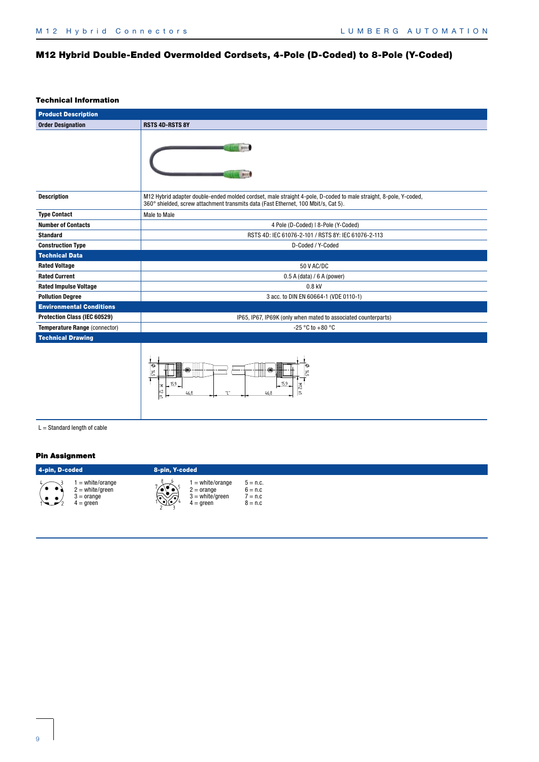# M12 Hybrid Double-Ended Overmolded Cordsets, 4-Pole (D-Coded) to 8-Pole (Y-Coded)

#### Technical Information

| <b>Product Description</b>      |                                                                                                                                                                                                        |  |  |  |  |  |
|---------------------------------|--------------------------------------------------------------------------------------------------------------------------------------------------------------------------------------------------------|--|--|--|--|--|
| <b>Order Designation</b>        | <b>RSTS 4D-RSTS 8Y</b>                                                                                                                                                                                 |  |  |  |  |  |
|                                 |                                                                                                                                                                                                        |  |  |  |  |  |
| <b>Description</b>              | M12 Hybrid adapter double-ended molded cordset, male straight 4-pole, D-coded to male straight, 8-pole, Y-coded,<br>360° shielded, screw attachment transmits data (Fast Ethernet, 100 Mbit/s, Cat 5). |  |  |  |  |  |
| <b>Type Contact</b>             | Male to Male                                                                                                                                                                                           |  |  |  |  |  |
| <b>Number of Contacts</b>       | 4 Pole (D-Coded)   8-Pole (Y-Coded)                                                                                                                                                                    |  |  |  |  |  |
| <b>Standard</b>                 | RSTS 4D: IEC 61076-2-101 / RSTS 8Y: IEC 61076-2-113                                                                                                                                                    |  |  |  |  |  |
| <b>Construction Type</b>        | D-Coded / Y-Coded                                                                                                                                                                                      |  |  |  |  |  |
| <b>Technical Data</b>           |                                                                                                                                                                                                        |  |  |  |  |  |
| <b>Rated Voltage</b>            | 50 V AC/DC                                                                                                                                                                                             |  |  |  |  |  |
| <b>Rated Current</b>            | $0.5$ A (data) / 6 A (power)                                                                                                                                                                           |  |  |  |  |  |
| <b>Rated Impulse Voltage</b>    | 0.8 kV                                                                                                                                                                                                 |  |  |  |  |  |
| <b>Pollution Degree</b>         | 3 acc. to DIN EN 60664-1 (VDE 0110-1)                                                                                                                                                                  |  |  |  |  |  |
| <b>Environmental Conditions</b> |                                                                                                                                                                                                        |  |  |  |  |  |
| Protection Class (IEC 60529)    | IP65, IP67, IP69K (only when mated to associated counterparts)                                                                                                                                         |  |  |  |  |  |
| Temperature Range (connector)   | -25 °C to +80 °C                                                                                                                                                                                       |  |  |  |  |  |
| <b>Technical Drawing</b>        |                                                                                                                                                                                                        |  |  |  |  |  |
|                                 | ⊖<br>⊜<br>∣≓<br>15.9<br>15.9<br>z<br>12<br>46,8<br>46.8                                                                                                                                                |  |  |  |  |  |

 $L =$  Standard length of cable

| 4-pin, D-coded                            |                                                                             | 8-pin, Y-coded                                                                           |                                                           |
|-------------------------------------------|-----------------------------------------------------------------------------|------------------------------------------------------------------------------------------|-----------------------------------------------------------|
| $\bullet\hspace{1ex} \bullet\hspace{1ex}$ | $i =$ white/orange<br>! = white/green<br>$3 = \text{orange}$<br>$4 =$ green | $=$ white/orange<br>$2 = \text{orange}$<br>$3 = white/green$<br>١.<br>ئلاقي<br>4 = green | $5 = n.c.$<br>$6 = n.c$<br>$^{\prime}$ = n.c<br>$8 = n.c$ |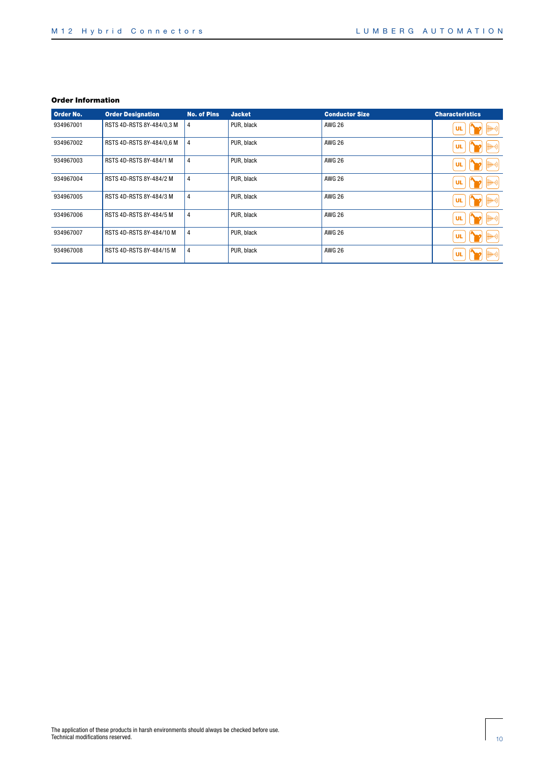| Order No. | <b>Order Designation</b>  | <b>No. of Pins</b> | <b>Jacket</b> | <b>Conductor Size</b> | <b>Characteristics</b> |
|-----------|---------------------------|--------------------|---------------|-----------------------|------------------------|
| 934967001 | RSTS 4D-RSTS 8Y-484/0,3 M | 4                  | PUR, black    | <b>AWG 26</b>         | ¦∰+))<br><b>UL</b>     |
| 934967002 | RSTS 4D-RSTS 8Y-484/0,6 M | 4                  | PUR, black    | <b>AWG 26</b>         | ∰H+))<br><b>UL</b>     |
| 934967003 | RSTS 4D-RSTS 8Y-484/1 M   | 4                  | PUR, black    | <b>AWG 26</b>         | ∰H+>))<br>UL           |
| 934967004 | RSTS 4D-RSTS 8Y-484/2 M   | $\overline{4}$     | PUR. black    | <b>AWG 26</b>         | ∰H+))<br>UL            |
| 934967005 | RSTS 4D-RSTS 8Y-484/3 M   | 4                  | PUR, black    | <b>AWG 26</b>         | ∰H+))<br><b>UL</b>     |
| 934967006 | RSTS 4D-RSTS 8Y-484/5 M   | $\overline{4}$     | PUR, black    | <b>AWG 26</b>         | ∰H+))<br><b>UL</b>     |
| 934967007 | RSTS 4D-RSTS 8Y-484/10 M  | 4                  | PUR, black    | <b>AWG 26</b>         | ∰H+))<br><b>UL</b>     |
| 934967008 | RSTS 4D-RSTS 8Y-484/15 M  | 4                  | PUR, black    | AWG 26                | {(⊶⊪<br><b>UL</b>      |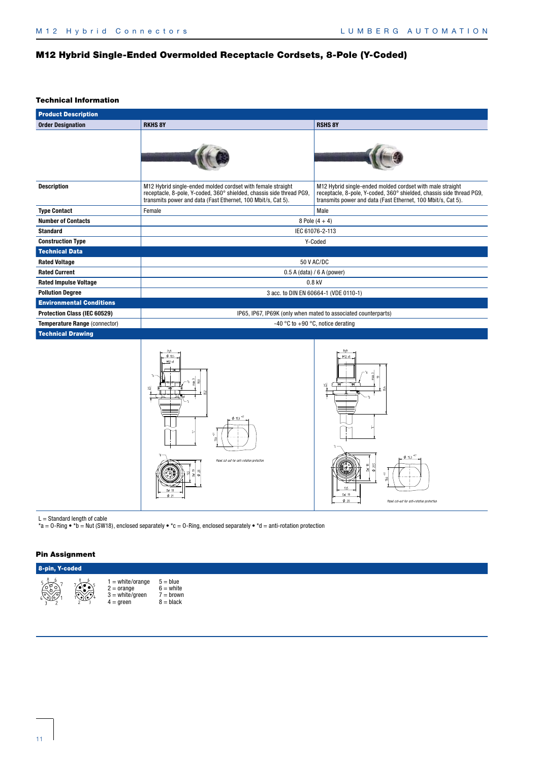# M12 Hybrid Single-Ended Overmolded Receptacle Cordsets, 8-Pole (Y-Coded)

#### Technical Information

| <b>Product Description</b>      |                                                                                                                                                                                                     |                                                                                                                                                                                                   |  |  |  |  |
|---------------------------------|-----------------------------------------------------------------------------------------------------------------------------------------------------------------------------------------------------|---------------------------------------------------------------------------------------------------------------------------------------------------------------------------------------------------|--|--|--|--|
| <b>Order Designation</b>        | <b>RKHS 8Y</b>                                                                                                                                                                                      | <b>RSHS 8Y</b>                                                                                                                                                                                    |  |  |  |  |
|                                 |                                                                                                                                                                                                     |                                                                                                                                                                                                   |  |  |  |  |
| <b>Description</b>              | M12 Hybrid single-ended molded cordset with female straight<br>receptacle, 8-pole, Y-coded, 360° shielded, chassis side thread PG9.<br>transmits power and data (Fast Ethernet, 100 Mbit/s, Cat 5). | M12 Hybrid single-ended molded cordset with male straight<br>receptacle, 8-pole, Y-coded, 360° shielded, chassis side thread PG9,<br>transmits power and data (Fast Ethernet, 100 Mbit/s, Cat 5). |  |  |  |  |
| <b>Type Contact</b>             | Female                                                                                                                                                                                              | Male                                                                                                                                                                                              |  |  |  |  |
| <b>Number of Contacts</b>       | 8 Pole $(4 + 4)$                                                                                                                                                                                    |                                                                                                                                                                                                   |  |  |  |  |
| <b>Standard</b>                 | IEC 61076-2-113                                                                                                                                                                                     |                                                                                                                                                                                                   |  |  |  |  |
| <b>Construction Type</b>        | Y-Coded                                                                                                                                                                                             |                                                                                                                                                                                                   |  |  |  |  |
| <b>Technical Data</b>           |                                                                                                                                                                                                     |                                                                                                                                                                                                   |  |  |  |  |
| <b>Rated Voltage</b>            | 50 V AC/DC                                                                                                                                                                                          |                                                                                                                                                                                                   |  |  |  |  |
| <b>Rated Current</b>            | $0.5$ A (data) / 6 A (power)                                                                                                                                                                        |                                                                                                                                                                                                   |  |  |  |  |
| <b>Rated Impulse Voltage</b>    |                                                                                                                                                                                                     | 0.8 kV                                                                                                                                                                                            |  |  |  |  |
| <b>Pollution Degree</b>         | 3 acc. to DIN EN 60664-1 (VDE 0110-1)                                                                                                                                                               |                                                                                                                                                                                                   |  |  |  |  |
| <b>Environmental Conditions</b> |                                                                                                                                                                                                     |                                                                                                                                                                                                   |  |  |  |  |
| Protection Class (IEC 60529)    | IP65, IP67, IP69K (only when mated to associated counterparts)                                                                                                                                      |                                                                                                                                                                                                   |  |  |  |  |
| Temperature Range (connector)   | -40 °C to +90 °C, notice derating                                                                                                                                                                   |                                                                                                                                                                                                   |  |  |  |  |
| <b>Technical Drawing</b>        |                                                                                                                                                                                                     |                                                                                                                                                                                                   |  |  |  |  |
|                                 | $\phi$ 13.5                                                                                                                                                                                         | M12 x1                                                                                                                                                                                            |  |  |  |  |



 $L =$  Standard length of cable

\*a = O-Ring • \*b = Nut (SW18), enclosed separately • \*c = O-Ring, enclosed separately • \*d = anti-rotation protection

| 8-pin, Y-coded |           |                                                                                   |                                                         |  |  |  |  |
|----------------|-----------|-----------------------------------------------------------------------------------|---------------------------------------------------------|--|--|--|--|
| <b>RO</b>      | <b>SS</b> | $=$ white/orange<br>$2 = \text{orange}$<br>$3 = white/green$<br>$4 = \text{area}$ | $5 = blue$<br>$6 =$ white<br>$7 = brown$<br>$8 = black$ |  |  |  |  |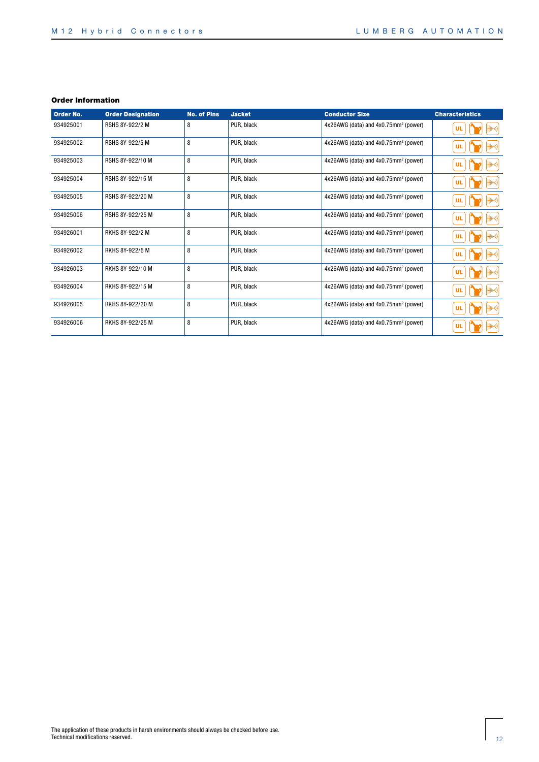| Order No. | <b>Order Designation</b> | <b>No. of Pins</b> | <b>Jacket</b> | <b>Conductor Size</b>                            | <b>Characteristics</b> |
|-----------|--------------------------|--------------------|---------------|--------------------------------------------------|------------------------|
| 934925001 | <b>RSHS 8Y-922/2 M</b>   | 8                  | PUR, black    | 4x26AWG (data) and 4x0.75mm <sup>2</sup> (power) | ¦((·1<br><b>UL</b>     |
| 934925002 | RSHS 8Y-922/5 M          | 8                  | PUR, black    | $4x26AWG$ (data) and $4x0.75mm^2$ (power)        | ∰H+))<br>UL            |
| 934925003 | RSHS 8Y-922/10 M         | 8                  | PUR, black    | 4x26AWG (data) and 4x0.75mm <sup>2</sup> (power) | ∰H+))<br>UL            |
| 934925004 | RSHS 8Y-922/15 M         | 8                  | PUR, black    | 4x26AWG (data) and 4x0.75mm <sup>2</sup> (power) | ∰H+)) <br><b>UL</b>    |
| 934925005 | RSHS 8Y-922/20 M         | 8                  | PUR, black    | 4x26AWG (data) and 4x0.75mm <sup>2</sup> (power) | ∰H+))<br><b>UL</b>     |
| 934925006 | RSHS 8Y-922/25 M         | 8                  | PUR, black    | 4x26AWG (data) and 4x0.75mm <sup>2</sup> (power) | ¦¦ ++))<br><b>UL</b>   |
| 934926001 | RKHS 8Y-922/2 M          | 8                  | PUR, black    | 4x26AWG (data) and 4x0.75mm <sup>2</sup> (power) | ∰H+))<br><b>UL</b>     |
| 934926002 | RKHS 8Y-922/5 M          | 8                  | PUR, black    | 4x26AWG (data) and 4x0.75mm <sup>2</sup> (power) | ∰H+))<br><b>UL</b>     |
| 934926003 | RKHS 8Y-922/10 M         | 8                  | PUR. black    | 4x26AWG (data) and 4x0.75mm <sup>2</sup> (power) | ∰+)) <br><b>UL</b>     |
| 934926004 | RKHS 8Y-922/15 M         | 8                  | PUR, black    | 4x26AWG (data) and 4x0.75mm <sup>2</sup> (power) | ∰+)) <br><b>UL</b>     |
| 934926005 | RKHS 8Y-922/20 M         | 8                  | PUR. black    | 4x26AWG (data) and 4x0.75mm <sup>2</sup> (power) | ∰H+))<br><b>UL</b>     |
| 934926006 | RKHS 8Y-922/25 M         | 8                  | PUR. black    | 4x26AWG (data) and 4x0.75mm <sup>2</sup> (power) | ∰H+))<br><b>UL</b>     |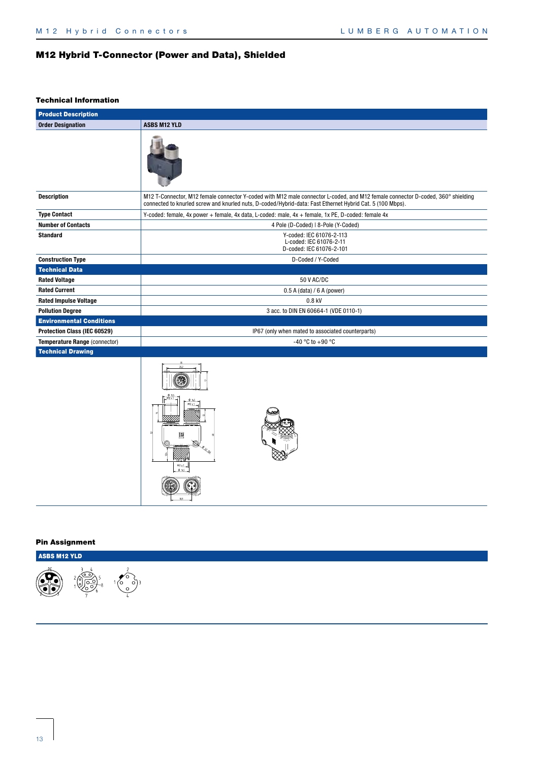# M12 Hybrid T-Connector (Power and Data), Shielded

#### Technical Information

| <b>Product Description</b>      |                                                                                                                                                                                                                                              |  |  |  |  |  |  |  |
|---------------------------------|----------------------------------------------------------------------------------------------------------------------------------------------------------------------------------------------------------------------------------------------|--|--|--|--|--|--|--|
| <b>Order Designation</b>        | <b>ASBS M12 YLD</b>                                                                                                                                                                                                                          |  |  |  |  |  |  |  |
|                                 |                                                                                                                                                                                                                                              |  |  |  |  |  |  |  |
| <b>Description</b>              | M12 T-Connector, M12 female connector Y-coded with M12 male connector L-coded, and M12 female connector D-coded, 360° shielding<br>connected to knurled screw and knurled nuts, D-coded/Hybrid-data: Fast Ethernet Hybrid Cat. 5 (100 Mbps). |  |  |  |  |  |  |  |
| <b>Type Contact</b>             | Y-coded: female, 4x power + female, 4x data, L-coded: male, 4x + female, 1x PE, D-coded: female 4x                                                                                                                                           |  |  |  |  |  |  |  |
| <b>Number of Contacts</b>       | 4 Pole (D-Coded)   8-Pole (Y-Coded)                                                                                                                                                                                                          |  |  |  |  |  |  |  |
| <b>Standard</b>                 | Y-coded: IEC 61076-2-113<br>L-coded: IEC 61076-2-11<br>D-coded: IEC 61076-2-101                                                                                                                                                              |  |  |  |  |  |  |  |
| <b>Construction Type</b>        | D-Coded / Y-Coded                                                                                                                                                                                                                            |  |  |  |  |  |  |  |
| <b>Technical Data</b>           |                                                                                                                                                                                                                                              |  |  |  |  |  |  |  |
| <b>Rated Voltage</b>            | 50 V AC/DC                                                                                                                                                                                                                                   |  |  |  |  |  |  |  |
| <b>Rated Current</b>            | $0.5$ A (data) / 6 A (power)                                                                                                                                                                                                                 |  |  |  |  |  |  |  |
| <b>Rated Impulse Voltage</b>    | 0.8 kV                                                                                                                                                                                                                                       |  |  |  |  |  |  |  |
| <b>Pollution Degree</b>         | 3 acc. to DIN EN 60664-1 (VDE 0110-1)                                                                                                                                                                                                        |  |  |  |  |  |  |  |
| <b>Environmental Conditions</b> |                                                                                                                                                                                                                                              |  |  |  |  |  |  |  |
| Protection Class (IEC 60529)    | IP67 (only when mated to associated counterparts)                                                                                                                                                                                            |  |  |  |  |  |  |  |
| Temperature Range (connector)   | -40 °C to +90 °C                                                                                                                                                                                                                             |  |  |  |  |  |  |  |
| <b>Technical Drawing</b>        |                                                                                                                                                                                                                                              |  |  |  |  |  |  |  |
|                                 | $M2 \times 1$<br>$\phi$ is $\overline{\phantom{a}}$                                                                                                                                                                                          |  |  |  |  |  |  |  |